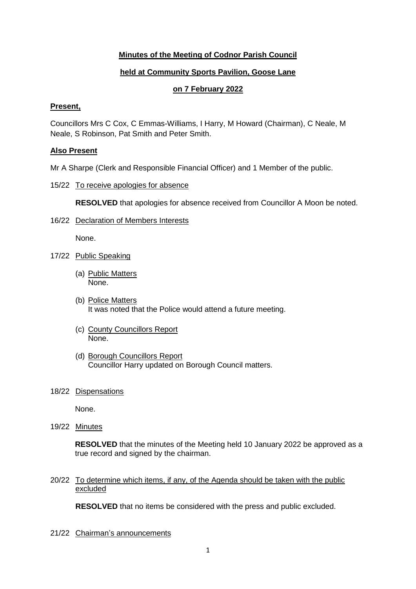# **Minutes of the Meeting of Codnor Parish Council**

# **held at Community Sports Pavilion, Goose Lane**

## **on 7 February 2022**

### **Present,**

Councillors Mrs C Cox, C Emmas-Williams, I Harry, M Howard (Chairman), C Neale, M Neale, S Robinson, Pat Smith and Peter Smith.

### **Also Present**

Mr A Sharpe (Clerk and Responsible Financial Officer) and 1 Member of the public.

### 15/22 To receive apologies for absence

**RESOLVED** that apologies for absence received from Councillor A Moon be noted.

16/22 Declaration of Members Interests

None.

- 17/22 Public Speaking
	- (a) Public Matters None.
	- (b) Police Matters It was noted that the Police would attend a future meeting.
	- (c) County Councillors Report None.
	- (d) Borough Councillors Report Councillor Harry updated on Borough Council matters.
- 18/22 Dispensations

None.

19/22 Minutes

**RESOLVED** that the minutes of the Meeting held 10 January 2022 be approved as a true record and signed by the chairman.

20/22 To determine which items, if any, of the Agenda should be taken with the public excluded

**RESOLVED** that no items be considered with the press and public excluded.

21/22 Chairman's announcements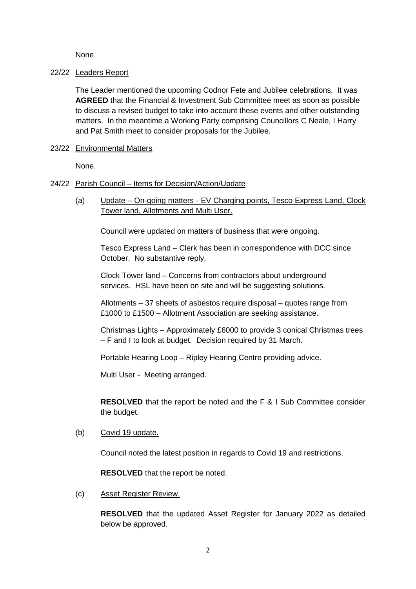None.

### 22/22 Leaders Report

The Leader mentioned the upcoming Codnor Fete and Jubilee celebrations. It was **AGREED** that the Financial & Investment Sub Committee meet as soon as possible to discuss a revised budget to take into account these events and other outstanding matters. In the meantime a Working Party comprising Councillors C Neale, I Harry and Pat Smith meet to consider proposals for the Jubilee.

23/22 Environmental Matters

None.

- 24/22 Parish Council Items for Decision/Action/Update
	- (a) Update On-going matters EV Charging points, Tesco Express Land, Clock Tower land, Allotments and Multi User.

Council were updated on matters of business that were ongoing.

Tesco Express Land – Clerk has been in correspondence with DCC since October. No substantive reply.

Clock Tower land – Concerns from contractors about underground services. HSL have been on site and will be suggesting solutions.

Allotments – 37 sheets of asbestos require disposal – quotes range from £1000 to £1500 – Allotment Association are seeking assistance.

Christmas Lights – Approximately £6000 to provide 3 conical Christmas trees – F and I to look at budget. Decision required by 31 March.

Portable Hearing Loop – Ripley Hearing Centre providing advice.

Multi User - Meeting arranged.

**RESOLVED** that the report be noted and the F & I Sub Committee consider the budget.

(b) Covid 19 update.

Council noted the latest position in regards to Covid 19 and restrictions.

**RESOLVED** that the report be noted.

(c) Asset Register Review.

**RESOLVED** that the updated Asset Register for January 2022 as detailed below be approved.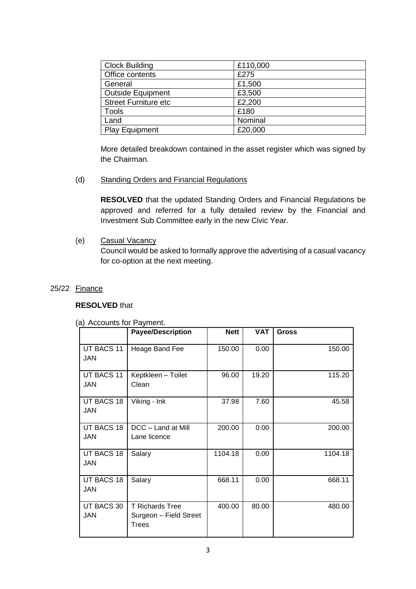| <b>Clock Building</b>       | £110,000 |
|-----------------------------|----------|
| Office contents             | £275     |
| General                     | £1,500   |
| <b>Outside Equipment</b>    | £3,500   |
| <b>Street Furniture etc</b> | £2,200   |
| <b>Tools</b>                | £180     |
| Land                        | Nominal  |
| <b>Play Equipment</b>       | £20,000  |

More detailed breakdown contained in the asset register which was signed by the Chairman.

(d) Standing Orders and Financial Regulations

**RESOLVED** that the updated Standing Orders and Financial Regulations be approved and referred for a fully detailed review by the Financial and Investment Sub Committee early in the new Civic Year.

(e) Casual Vacancy Council would be asked to formally approve the advertising of a casual vacancy for co-option at the next meeting.

### 25/22 Finance

### **RESOLVED** that

#### (a) Accounts for Payment.

|                          | <b>Payee/Description</b>                                  | <b>Nett</b> | <b>VAT</b> | <b>Gross</b> |  |
|--------------------------|-----------------------------------------------------------|-------------|------------|--------------|--|
| UT BACS 11<br><b>JAN</b> | Heage Band Fee                                            | 150.00      | 0.00       | 150.00       |  |
| UT BACS 11<br>JAN        | Keptkleen - Toilet<br>Clean                               | 96.00       | 19.20      | 115.20       |  |
| UT BACS 18<br><b>JAN</b> | Viking - Ink                                              | 37.98       | 7.60       | 45.58        |  |
| UT BACS 18<br><b>JAN</b> | DCC - Land at Mill<br>Lane licence                        | 200.00      | 0.00       | 200.00       |  |
| UT BACS 18<br>JAN        | Salary                                                    | 1104.18     | 0.00       | 1104.18      |  |
| UT BACS 18<br><b>JAN</b> | Salary                                                    | 668.11      | 0.00       | 668.11       |  |
| UT BACS 30<br><b>JAN</b> | <b>T Richards Tree</b><br>Surgeon - Field Street<br>Trees | 400.00      | 80.00      | 480.00       |  |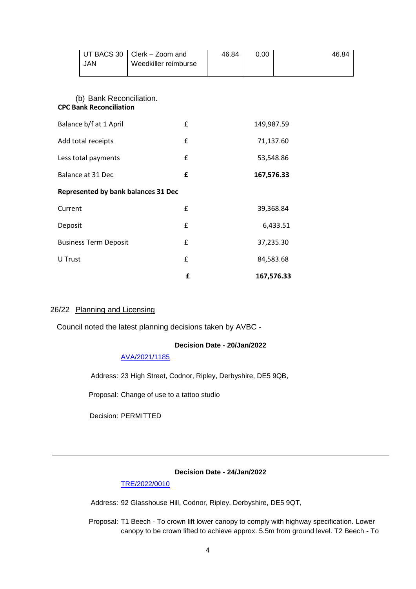| <b>JAN</b>                     | UT BACS 30               | Clerk - Zoom and<br>Weedkiller reimburse   | 46.84      | 0.00 | 46.84      |  |
|--------------------------------|--------------------------|--------------------------------------------|------------|------|------------|--|
| <b>CPC Bank Reconciliation</b> | (b) Bank Reconciliation. |                                            |            |      |            |  |
| Balance b/f at 1 April         |                          | £                                          | 149,987.59 |      |            |  |
| Add total receipts             |                          | £                                          | 71,137.60  |      |            |  |
| Less total payments            |                          | £                                          | 53,548.86  |      |            |  |
| Balance at 31 Dec              |                          | £                                          | 167,576.33 |      |            |  |
|                                |                          | <b>Represented by bank balances 31 Dec</b> |            |      |            |  |
| Current                        |                          | £                                          | 39,368.84  |      |            |  |
| Deposit                        |                          | £                                          | 6,433.51   |      |            |  |
| <b>Business Term Deposit</b>   |                          | £                                          | 37,235.30  |      |            |  |
| U Trust                        |                          | £                                          |            |      | 84,583.68  |  |
|                                |                          | £                                          |            |      | 167,576.33 |  |

## 26/22 Planning and Licensing

Council noted the latest planning decisions taken by AVBC -

## **Decision Date - 20/Jan/2022**

#### [AVA/2021/1185](https://www.ambervalley.gov.uk/planapps?refval=AVA-2021-1185)

Address: 23 High Street, Codnor, Ripley, Derbyshire, DE5 9QB,

Proposal: Change of use to a tattoo studio

Decision: PERMITTED

### **Decision Date - 24/Jan/2022**

#### [TRE/2022/0010](https://www.ambervalley.gov.uk/planapps?refval=TRE-2022-0010)

Address: 92 Glasshouse Hill, Codnor, Ripley, Derbyshire, DE5 9QT,

Proposal: T1 Beech - To crown lift lower canopy to comply with highway specification. Lower canopy to be crown lifted to achieve approx. 5.5m from ground level. T2 Beech - To